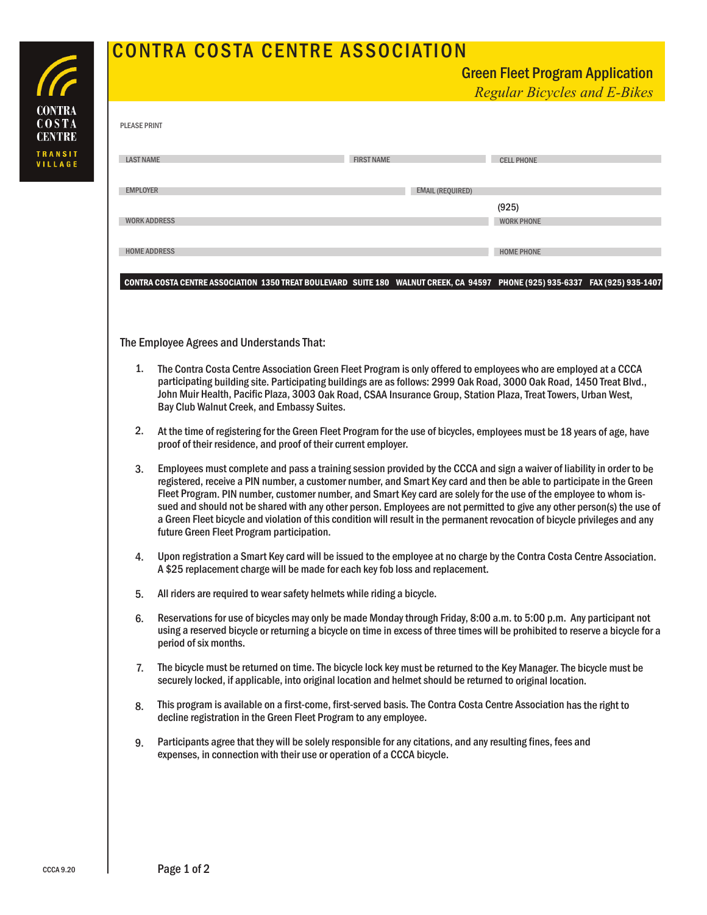## **CONTRA**  $COSTA$ **CENTRE** TRANSIT<br>VILLAGE

## CONTRA COSTA CENTRE ASSOCIATION

|                     | <u>Green Fieet Program Application</u><br><b>Regular Bicycles and E-Bikes</b>                                                                                                                                                                                                                                                                                                                                                                                                                                                                                                                                                                                              |                         |
|---------------------|----------------------------------------------------------------------------------------------------------------------------------------------------------------------------------------------------------------------------------------------------------------------------------------------------------------------------------------------------------------------------------------------------------------------------------------------------------------------------------------------------------------------------------------------------------------------------------------------------------------------------------------------------------------------------|-------------------------|
| <b>PLEASE PRINT</b> |                                                                                                                                                                                                                                                                                                                                                                                                                                                                                                                                                                                                                                                                            |                         |
| <b>LAST NAME</b>    | <b>FIRST NAME</b>                                                                                                                                                                                                                                                                                                                                                                                                                                                                                                                                                                                                                                                          | <b>CELL PHONE</b>       |
| <b>EMPLOYER</b>     |                                                                                                                                                                                                                                                                                                                                                                                                                                                                                                                                                                                                                                                                            | <b>EMAIL (REQUIRED)</b> |
|                     |                                                                                                                                                                                                                                                                                                                                                                                                                                                                                                                                                                                                                                                                            | (925)                   |
|                     | <b>WORK ADDRESS</b>                                                                                                                                                                                                                                                                                                                                                                                                                                                                                                                                                                                                                                                        | <b>WORK PHONE</b>       |
|                     | <b>HOME ADDRESS</b>                                                                                                                                                                                                                                                                                                                                                                                                                                                                                                                                                                                                                                                        | <b>HOME PHONE</b>       |
|                     | CONTRA COSTA CENTRE ASSOCIATION 1350 TREAT BOULEVARD SUITE 180 WALNUT CREEK, CA 94597 PHONE (925) 935-6337 FAX (925) 935-1407                                                                                                                                                                                                                                                                                                                                                                                                                                                                                                                                              |                         |
|                     | The Employee Agrees and Understands That:                                                                                                                                                                                                                                                                                                                                                                                                                                                                                                                                                                                                                                  |                         |
| 1.                  | The Contra Costa Centre Association Green Fleet Program is only offered to employees who are employed at a CCCA<br>participating building site. Participating buildings are as follows: 2999 Oak Road, 3000 Oak Road, 1450 Treat Blvd.,<br>John Muir Health, Pacific Plaza, 3003 Oak Road, CSAA Insurance Group, Station Plaza, Treat Towers, Urban West,<br>Bay Club Walnut Creek, and Embassy Suites.                                                                                                                                                                                                                                                                    |                         |
| 2.                  | At the time of registering for the Green Fleet Program for the use of bicycles, employees must be 18 years of age, have<br>proof of their residence, and proof of their current employer.                                                                                                                                                                                                                                                                                                                                                                                                                                                                                  |                         |
| 3.                  | Employees must complete and pass a training session provided by the CCCA and sign a waiver of liability in order to be<br>registered, receive a PIN number, a customer number, and Smart Key card and then be able to participate in the Green<br>Fleet Program. PIN number, customer number, and Smart Key card are solely for the use of the employee to whom is-<br>sued and should not be shared with any other person. Employees are not permitted to give any other person(s) the use of<br>a Green Fleet bicycle and violation of this condition will result in the permanent revocation of bicycle privileges and any<br>future Green Fleet Program participation. |                         |
| 4.                  | Upon registration a Smart Key card will be issued to the employee at no charge by the Contra Costa Centre Association.<br>A \$25 replacement charge will be made for each key fob loss and replacement.                                                                                                                                                                                                                                                                                                                                                                                                                                                                    |                         |
| 5.                  | All riders are required to wear safety helmets while riding a bicycle.                                                                                                                                                                                                                                                                                                                                                                                                                                                                                                                                                                                                     |                         |
| 6.                  | Reservations for use of bicycles may only be made Monday through Friday, 8:00 a.m. to 5:00 p.m. Any participant not<br>using a reserved bicycle or returning a bicycle on time in excess of three times will be prohibited to reserve a bicycle for a<br>period of six months.                                                                                                                                                                                                                                                                                                                                                                                             |                         |
| 7.                  | The bicycle must be returned on time. The bicycle lock key must be returned to the Key Manager. The bicycle must be<br>securely locked, if applicable, into original location and helmet should be returned to original location.                                                                                                                                                                                                                                                                                                                                                                                                                                          |                         |
| 8.                  | This program is available on a first-come, first-served basis. The Contra Costa Centre Association has the right to<br>decline registration in the Green Fleet Program to any employee.                                                                                                                                                                                                                                                                                                                                                                                                                                                                                    |                         |

Participants agree that they will be solely responsible for any citations, and any resulting fines, fees and expenses, in connection with their use or operation of <sup>a</sup> CCCA bicycle. 9.